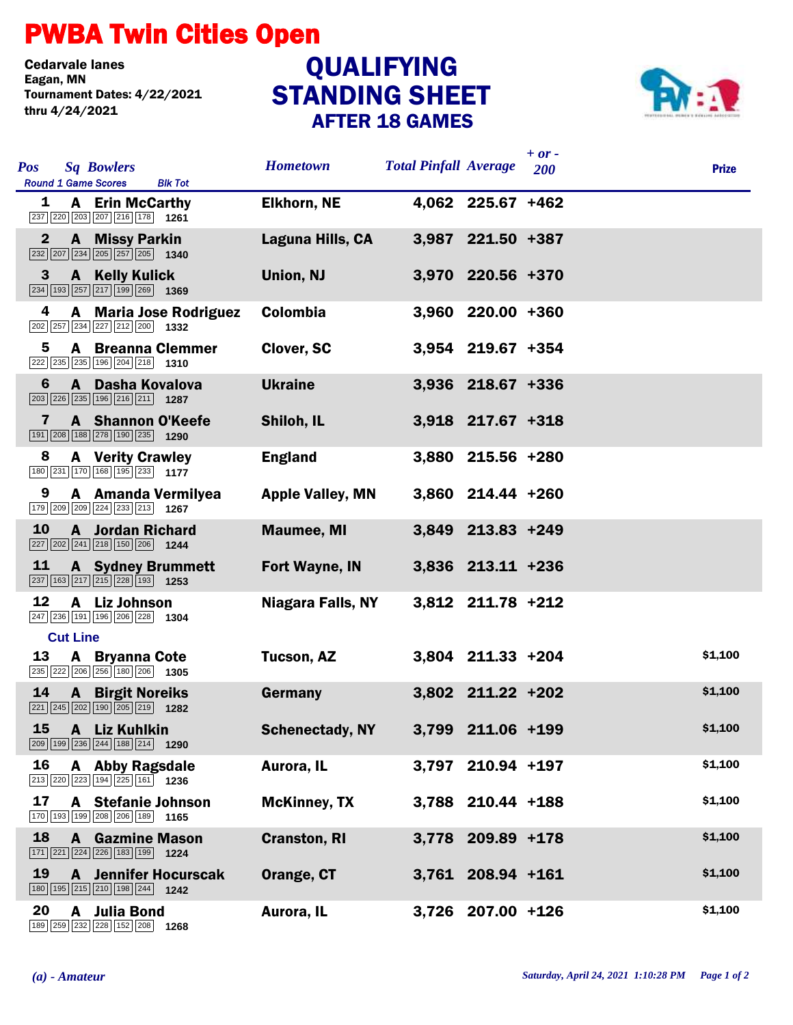## PWBA Twin Cities Open

Cedarvale lanes<br>Eagan, MN Tournament Dates: 4/22/2021 thru 4/24/2021

## STANDING SHEET AFTER 18 GAMES **QUALIFYING**



| <b>Pos</b>   | <b>Sq Bowlers</b><br><b>Round 1 Game Scores</b><br><b>Blk Tot</b>                                                          | <b>Hometown</b>         | <b>Total Pinfall Average</b> |                   | $+ or -$<br>200 | <b>Prize</b> |
|--------------|----------------------------------------------------------------------------------------------------------------------------|-------------------------|------------------------------|-------------------|-----------------|--------------|
| 1            | <b>A</b> Erin McCarthy<br>237 220 203 207 216 178 1261                                                                     | <b>Elkhorn, NE</b>      |                              | 4,062 225.67 +462 |                 |              |
| $\mathbf{2}$ | <b>A</b> Missy Parkin<br>$\boxed{232}$ $\boxed{207}$ $\boxed{234}$ $\boxed{205}$ $\boxed{257}$ $\boxed{205}$ <b>1340</b>   | Laguna Hills, CA        |                              | 3,987 221.50 +387 |                 |              |
| 3            | <b>A</b> Kelly Kulick<br>$\boxed{234}$ $\boxed{193}$ $\boxed{257}$ $\boxed{217}$ $\boxed{199}$ $\boxed{269}$ <b>1369</b>   | Union, NJ               |                              | 3,970 220.56 +370 |                 |              |
| 4            | <b>A</b> Maria Jose Rodriguez<br>202 257 234 227 212 200 1332                                                              | <b>Colombia</b>         |                              | 3,960 220.00 +360 |                 |              |
| 5            | <b>A</b> Breanna Clemmer<br>222 235 235 196 204 218 1310                                                                   | Clover, SC              |                              | 3,954 219.67 +354 |                 |              |
| 6            | A Dasha Kovalova<br>$\boxed{203}$ $\boxed{226}$ $\boxed{235}$ $\boxed{196}$ $\boxed{216}$ $\boxed{211}$ <b>1287</b>        | <b>Ukraine</b>          |                              | 3,936 218.67 +336 |                 |              |
| 7            | A Shannon O'Keefe<br>191 208 188 278 190 235 1290                                                                          | Shiloh, IL              |                              | 3,918 217.67 +318 |                 |              |
| 8            | <b>A</b> Verity Crawley<br>180 231 170 168 195 233 1177                                                                    | <b>England</b>          |                              | 3,880 215.56 +280 |                 |              |
| 9            | A Amanda Vermilyea<br>179 209 209 224 233 213 1267                                                                         | <b>Apple Valley, MN</b> |                              | 3,860 214.44 +260 |                 |              |
| 10           | <b>A</b> Jordan Richard<br>$\boxed{227}$ $\boxed{202}$ $\boxed{241}$ $\boxed{218}$ $\boxed{150}$ $\boxed{206}$ <b>1244</b> | <b>Maumee, MI</b>       |                              | 3,849 213.83 +249 |                 |              |
| 11           | <b>A</b> Sydney Brummett<br>$\boxed{237}$ 163 $\boxed{217}$ $\boxed{215}$ $\boxed{228}$ 193 1253                           | Fort Wayne, IN          |                              | 3,836 213.11 +236 |                 |              |
| 12           | A Liz Johnson<br>247 236 191 196 206 228 1304                                                                              | Niagara Falls, NY       |                              | 3,812 211.78 +212 |                 |              |
|              | <b>Cut Line</b>                                                                                                            |                         |                              |                   |                 |              |
| 13           | <b>A</b> Bryanna Cote<br>235 222 206 256 180 206 1305                                                                      | <b>Tucson, AZ</b>       |                              | 3,804 211.33 +204 |                 | \$1,100      |
| 14           | <b>A</b> Birgit Noreiks<br>$\boxed{221}$ $\boxed{245}$ $\boxed{202}$ $\boxed{190}$ $\boxed{205}$ $\boxed{219}$ <b>1282</b> | Germany                 |                              | 3,802 211.22 +202 |                 | \$1,100      |
|              | 15 A Liz Kuhlkin<br>209 199 236 244 188 214 1290                                                                           | <b>Schenectady, NY</b>  |                              | 3,799 211.06 +199 |                 | \$1,100      |
| 16           | A Abby Ragsdale<br>$\boxed{213}$ $\boxed{220}$ $\boxed{223}$ $\boxed{194}$ $\boxed{225}$ $\boxed{161}$ <b>1236</b>         | Aurora, IL              |                              | 3,797 210.94 +197 |                 | \$1,100      |
| 17           | A Stefanie Johnson<br>170 193 199 208 206 189 1165                                                                         | <b>McKinney, TX</b>     |                              | 3,788 210.44 +188 |                 | \$1,100      |
| 18           | <b>A</b> Gazmine Mason<br>171 221 224 226 183 199 1224                                                                     | <b>Cranston, RI</b>     |                              | 3,778 209.89 +178 |                 | \$1,100      |
| 19           | <b>A</b> Jennifer Hocurscak<br>180 195 215 210 198 244 1242                                                                | Orange, CT              |                              | 3,761 208.94 +161 |                 | \$1,100      |
| 20           | <b>Julia Bond</b><br>A<br>189 259 232 228 152 208 1268                                                                     | Aurora, IL              |                              | 3,726 207.00 +126 |                 | \$1,100      |